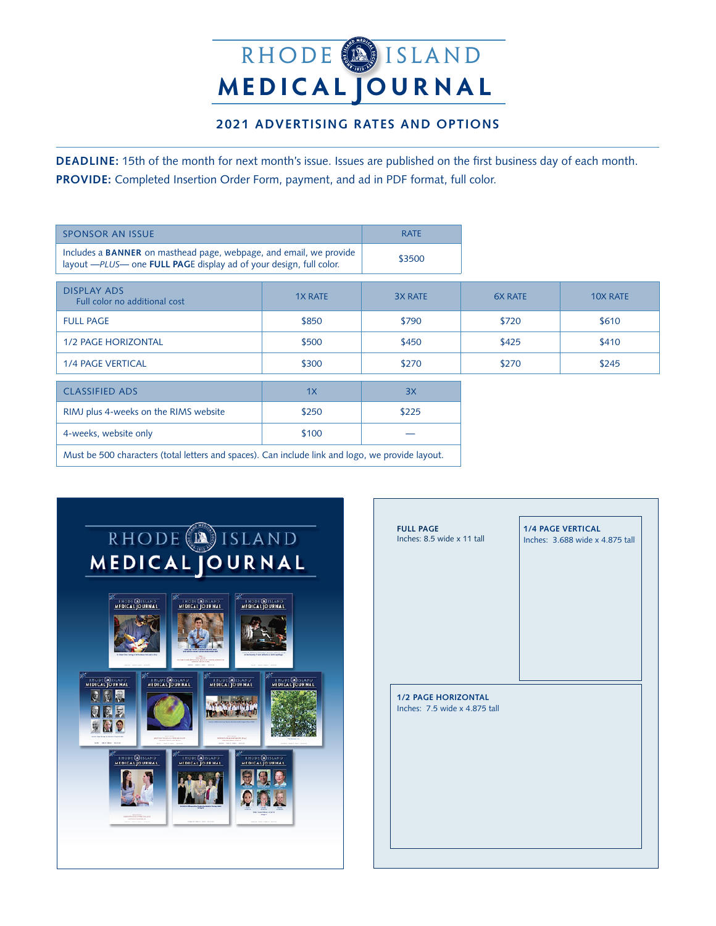## **M EDICAl Journ a l** RHODE<sup>(19</sup>ISLAND

## **2021 ADVERTISING RATES and OPTIONS**

**DEADLINE:** 15th of the month for next month's issue. Issues are published on the first business day of each month. **PROVIDE:** Completed Insertion Order Form, payment, and ad in PDF format, full color.

| <b>SPONSOR AN ISSUE</b>                                                                                                                  |                | <b>RATE</b>    |                |                 |
|------------------------------------------------------------------------------------------------------------------------------------------|----------------|----------------|----------------|-----------------|
| Includes a BANNER on masthead page, webpage, and email, we provide<br>layout -PLUS- one FULL PAGE display ad of your design, full color. |                | \$3500         |                |                 |
| <b>DISPLAY ADS</b><br>Full color no additional cost                                                                                      | <b>1X RATE</b> | <b>3X RATE</b> | <b>6X RATE</b> | <b>10X RATE</b> |
| <b>FULL PAGE</b>                                                                                                                         | \$850          | \$790          | \$720          | \$610           |
| <b>1/2 PAGE HORIZONTAL</b>                                                                                                               | \$500          | \$450          | \$425          | \$410           |
| <b>1/4 PAGE VERTICAL</b>                                                                                                                 | \$300          | \$270          | \$270          | \$245           |
| <b>CLASSIFIED ADS</b>                                                                                                                    | 1X             | 3X             |                |                 |
| RIMJ plus 4-weeks on the RIMS website                                                                                                    | \$250          | \$225          |                |                 |
| 4-weeks, website only                                                                                                                    | \$100          |                |                |                 |
| Must be 500 characters (total letters and spaces). Can include link and logo, we provide layout.                                         |                |                |                |                 |



| <b>FULL PAGE</b><br>Inches: 8.5 wide x 11 tall | <b>1/4 PAGE VERTICAL</b><br>Inches: 3.688 wide x 4.875 tall |
|------------------------------------------------|-------------------------------------------------------------|
|                                                |                                                             |
|                                                |                                                             |
|                                                |                                                             |
|                                                |                                                             |
| <b>1/2 PAGE HORIZONTAL</b>                     |                                                             |
| Inches: 7.5 wide x 4.875 tall                  |                                                             |
|                                                |                                                             |
|                                                |                                                             |
|                                                |                                                             |
|                                                |                                                             |
|                                                |                                                             |